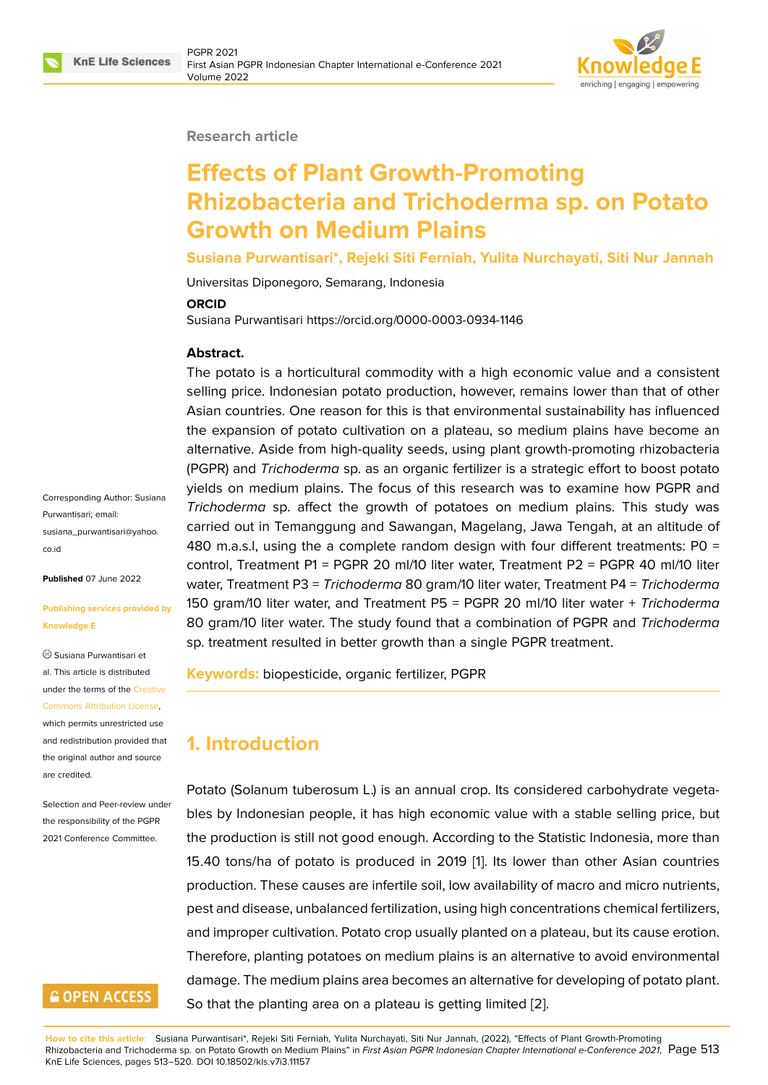

#### **Research article**

# **Effects of Plant Growth-Promoting Rhizobacteria and Trichoderma sp. on Potato Growth on Medium Plains**

**Susiana Purwantisari\*, Rejeki Siti Ferniah, Yulita Nurchayati, Siti Nur Jannah**

Universitas Diponegoro, Semarang, Indonesia

#### **ORCID**

Susiana Purwantisari https://orcid.org/0000-0003-0934-1146

#### **Abstract.**

The potato is a horticultural commodity with a high economic value and a consistent selling price. Indonesian potato production, however, remains lower than that of other Asian countries. One reason for this is that environmental sustainability has influenced the expansion of potato cultivation on a plateau, so medium plains have become an alternative. Aside from high-quality seeds, using plant growth-promoting rhizobacteria (PGPR) and *Trichoderma* sp. as an organic fertilizer is a strategic effort to boost potato yields on medium plains. The focus of this research was to examine how PGPR and *Trichoderma* sp. affect the growth of potatoes on medium plains. This study was carried out in Temanggung and Sawangan, Magelang, Jawa Tengah, at an altitude of 480 m.a.s.l, using the a complete random design with four different treatments:  $P0 =$ control, Treatment P1 = PGPR 20 ml/10 liter water, Treatment P2 = PGPR 40 ml/10 liter water, Treatment P3 = *Trichoderma* 80 gram/10 liter water, Treatment P4 = *Trichoderma* 150 gram/10 liter water, and Treatment P5 = PGPR 20 ml/10 liter water + *Trichoderma* 80 gram/10 liter water. The study found that a combination of PGPR and *Trichoderma* sp. treatment resulted in better growth than a single PGPR treatment.

**Keywords:** biopesticide, organic fertilizer, PGPR

# **1. Introduction**

Potato (Solanum tuberosum L.) is an annual crop. Its considered carbohydrate vegetables by Indonesian people, it has high economic value with a stable selling price, but the production is still not good enough. According to the Statistic Indonesia, more than 15.40 tons/ha of potato is produced in 2019 [1]. Its lower than other Asian countries production. These causes are infertile soil, low availability of macro and micro nutrients, pest and disease, unbalanced fertilization, using high concentrations chemical fertilizers, and improper cultivation. Potato crop usually pl[an](#page-6-0)ted on a plateau, but its cause erotion. Therefore, planting potatoes on medium plains is an alternative to avoid environmental damage. The medium plains area becomes an alternative for developing of potato plant. So that the planting area on a plateau is getting limited [2].

Corresponding Author: Susiana Purwantisari; email: susiana\_purwantisari@yahoo. co.id

**Published** 07 June 2022

#### **[Publ](mailto:susiana_purwantisari@yahoo.co.id)ishing services provided by Knowledge E**

Susiana Purwantisari et al. This article is distributed under the terms of the Creative Commons Attribution License,

which permits unrestricted use and redistribution provided that the original author and [source](https://creativecommons.org/licenses/by/4.0/)

[are credited.](https://creativecommons.org/licenses/by/4.0/)

Selection and Peer-review under the responsibility of the PGPR 2021 Conference Committee.

# **GOPEN ACCESS**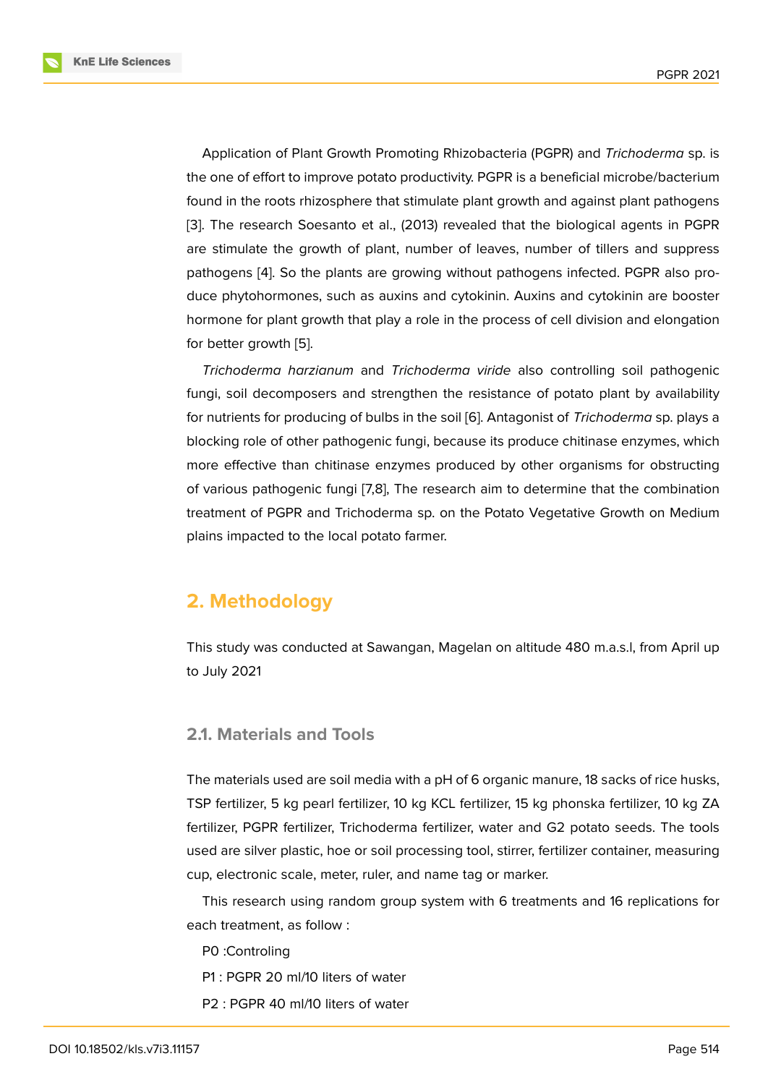Application of Plant Growth Promoting Rhizobacteria (PGPR) and *Trichoderma* sp. is the one of effort to improve potato productivity. PGPR is a beneficial microbe/bacterium found in the roots rhizosphere that stimulate plant growth and against plant pathogens [3]. The research Soesanto et al., (2013) revealed that the biological agents in PGPR are stimulate the growth of plant, number of leaves, number of tillers and suppress pathogens [4]. So the plants are growing without pathogens infected. PGPR also pro[du](#page-6-1)ce phytohormones, such as auxins and cytokinin. Auxins and cytokinin are booster hormone for plant growth that play a role in the process of cell division and elongation for better g[ro](#page-6-2)wth [5].

*Trichoderma harzianum* and *Trichoderma viride* also controlling soil pathogenic fungi, soil decomposers and strengthen the resistance of potato plant by availability for nutrients for pr[od](#page-6-3)ucing of bulbs in the soil [6]. Antagonist of *Trichoderma* sp. plays a blocking role of other pathogenic fungi, because its produce chitinase enzymes, which more effective than chitinase enzymes produced by other organisms for obstructing of various pathogenic fungi [7,8], The researc[h](#page-6-4) aim to determine that the combination treatment of PGPR and Trichoderma sp. on the Potato Vegetative Growth on Medium plains impacted to the local potato farmer.

# **2. Methodology**

This study was conducted at Sawangan, Magelan on altitude 480 m.a.s.l, from April up to July 2021

#### **2.1. Materials and Tools**

The materials used are soil media with a pH of 6 organic manure, 18 sacks of rice husks, TSP fertilizer, 5 kg pearl fertilizer, 10 kg KCL fertilizer, 15 kg phonska fertilizer, 10 kg ZA fertilizer, PGPR fertilizer, Trichoderma fertilizer, water and G2 potato seeds. The tools used are silver plastic, hoe or soil processing tool, stirrer, fertilizer container, measuring cup, electronic scale, meter, ruler, and name tag or marker.

This research using random group system with 6 treatments and 16 replications for each treatment, as follow :

- P0 :Controling
- P1 : PGPR 20 ml/10 liters of water
- P2 : PGPR 40 ml/10 liters of water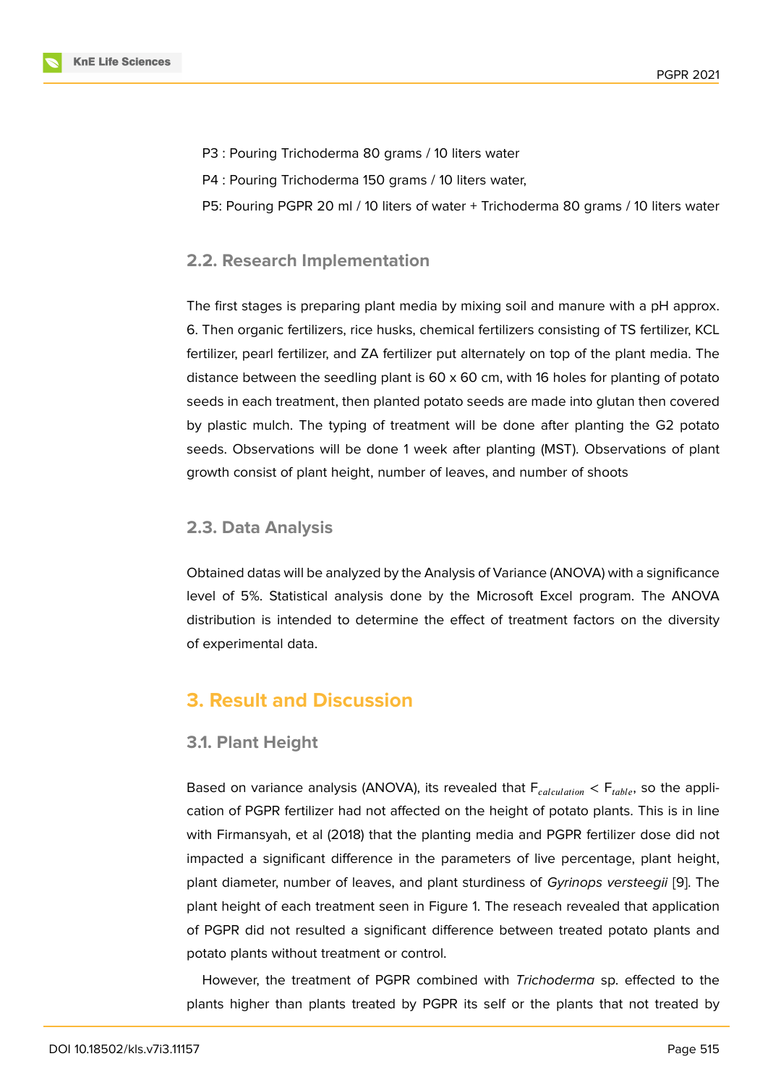- P3 : Pouring Trichoderma 80 grams / 10 liters water
- P4 : Pouring Trichoderma 150 grams / 10 liters water,
- P5: Pouring PGPR 20 ml / 10 liters of water + Trichoderma 80 grams / 10 liters water

### **2.2. Research Implementation**

The first stages is preparing plant media by mixing soil and manure with a pH approx. 6. Then organic fertilizers, rice husks, chemical fertilizers consisting of TS fertilizer, KCL fertilizer, pearl fertilizer, and ZA fertilizer put alternately on top of the plant media. The distance between the seedling plant is  $60 \times 60$  cm, with 16 holes for planting of potato seeds in each treatment, then planted potato seeds are made into glutan then covered by plastic mulch. The typing of treatment will be done after planting the G2 potato seeds. Observations will be done 1 week after planting (MST). Observations of plant growth consist of plant height, number of leaves, and number of shoots

## **2.3. Data Analysis**

Obtained datas will be analyzed by the Analysis of Variance (ANOVA) with a significance level of 5%. Statistical analysis done by the Microsoft Excel program. The ANOVA distribution is intended to determine the effect of treatment factors on the diversity of experimental data.

# **3. Result and Discussion**

#### **3.1. Plant Height**

Based on variance analysis (ANOVA), its revealed that  $F_{calculation} < F_{table}$ , so the application of PGPR fertilizer had not affected on the height of potato plants. This is in line with Firmansyah, et al (2018) that the planting media and PGPR fertilizer dose did not impacted a significant difference in the parameters of live percentage, plant height, plant diameter, number of leaves, and plant sturdiness of *Gyrinops versteegii* [9]. The plant height of each treatment seen in Figure 1. The reseach revealed that application of PGPR did not resulted a significant difference between treated potato plants and potato plants without treatment or control.

However, the treatment of PGPR combine[d](#page-3-0) with *Trichoderma* sp. effected to the plants higher than plants treated by PGPR its self or the plants that not treated by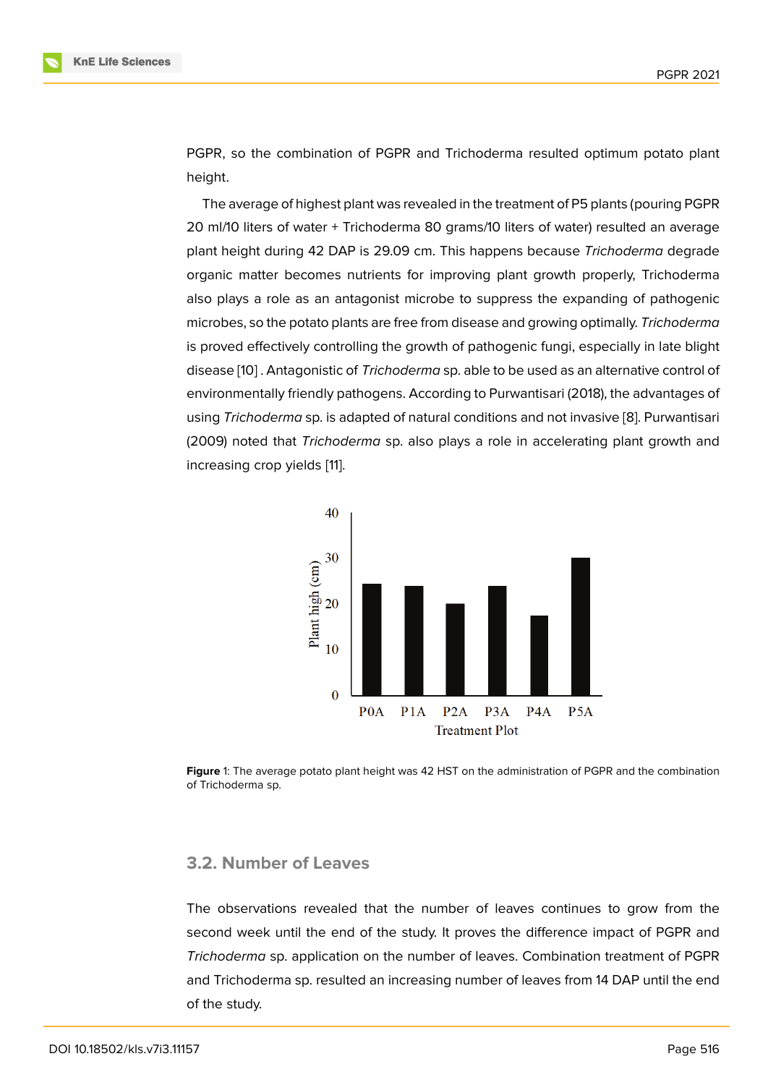PGPR, so the combination of PGPR and Trichoderma resulted optimum potato plant height.

The average of highest plant was revealed in the treatment of P5 plants (pouring PGPR 20 ml/10 liters of water + Trichoderma 80 grams/10 liters of water) resulted an average plant height during 42 DAP is 29.09 cm. This happens because *Trichoderma* degrade organic matter becomes nutrients for improving plant growth properly, Trichoderma also plays a role as an antagonist microbe to suppress the expanding of pathogenic microbes, so the potato plants are free from disease and growing optimally. *Trichoderma* is proved effectively controlling the growth of pathogenic fungi, especially in late blight disease [10] . Antagonistic of *Trichoderma* sp. able to be used as an alternative control of environmentally friendly pathogens. According to Purwantisari (2018), the advantages of using *Trichoderma* sp. is adapted of natural conditions and not invasive [8]. Purwantisari (2009) n[ote](#page-7-0)d that *Trichoderma* sp. also plays a role in accelerating plant growth and increasing crop yields [11].



**Figure** 1: The average potato plant height was 42 HST on the administration of PGPR and the combination of Trichoderma sp.

#### <span id="page-3-0"></span>**3.2. Number of Leaves**

The observations revealed that the number of leaves continues to grow from the second week until the end of the study. It proves the difference impact of PGPR and *Trichoderma* sp. application on the number of leaves. Combination treatment of PGPR and Trichoderma sp. resulted an increasing number of leaves from 14 DAP until the end of the study.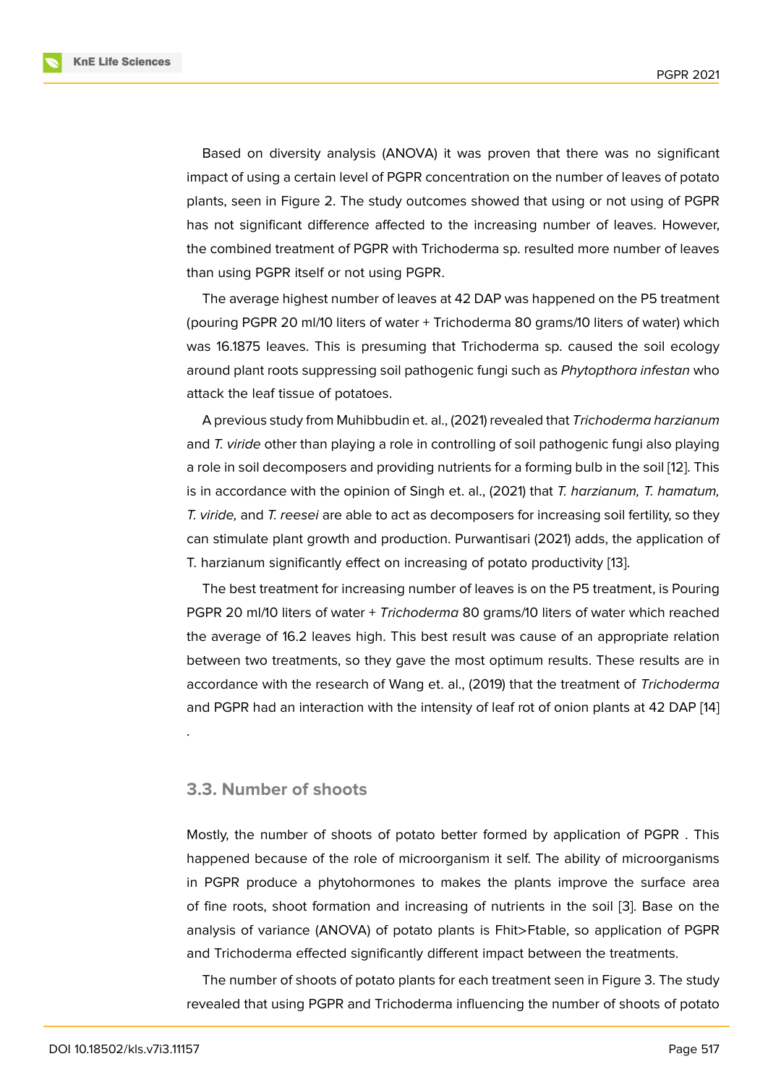Based on diversity analysis (ANOVA) it was proven that there was no significant impact of using a certain level of PGPR concentration on the number of leaves of potato plants, seen in Figure 2. The study outcomes showed that using or not using of PGPR has not significant difference affected to the increasing number of leaves. However, the combined treatment of PGPR with Trichoderma sp. resulted more number of leaves than using PGPR itself [o](#page-5-0)r not using PGPR.

The average highest number of leaves at 42 DAP was happened on the P5 treatment (pouring PGPR 20 ml/10 liters of water + Trichoderma 80 grams/10 liters of water) which was 16.1875 leaves. This is presuming that Trichoderma sp. caused the soil ecology around plant roots suppressing soil pathogenic fungi such as *Phytopthora infestan* who attack the leaf tissue of potatoes.

A previous study from Muhibbudin et. al., (2021) revealed that *Trichoderma harzianum* and *T. viride* other than playing a role in controlling of soil pathogenic fungi also playing a role in soil decomposers and providing nutrients for a forming bulb in the soil [12]. This is in accordance with the opinion of Singh et. al., (2021) that *T. harzianum, T. hamatum, T. viride,* and *T. reesei* are able to act as decomposers for increasing soil fertility, so they can stimulate plant growth and production. Purwantisari (2021) adds, the appli[cat](#page-7-1)ion of T. harzianum significantly effect on increasing of potato productivity [13].

The best treatment for increasing number of leaves is on the P5 treatment, is Pouring PGPR 20 ml/10 liters of water + *Trichoderma* 80 grams/10 liters of water which reached the average of 16.2 leaves high. This best result was cause of an a[ppr](#page-7-2)opriate relation between two treatments, so they gave the most optimum results. These results are in accordance with the research of Wang et. al., (2019) that the treatment of *Trichoderma* and PGPR had an interaction with the intensity of leaf rot of onion plants at 42 DAP [14]

#### **3.3. Number of shoots**

.

Mostly, the number of shoots of potato better formed by application of PGPR . This happened because of the role of microorganism it self. The ability of microorganisms in PGPR produce a phytohormones to makes the plants improve the surface area of fine roots, shoot formation and increasing of nutrients in the soil [3]. Base on the analysis of variance (ANOVA) of potato plants is Fhit>Ftable, so application of PGPR and Trichoderma effected significantly different impact between the treatments.

The number of shoots of potato plants for each treatment seen in Fig[ur](#page-6-1)e 3. The study revealed that using PGPR and Trichoderma influencing the number of shoots of potato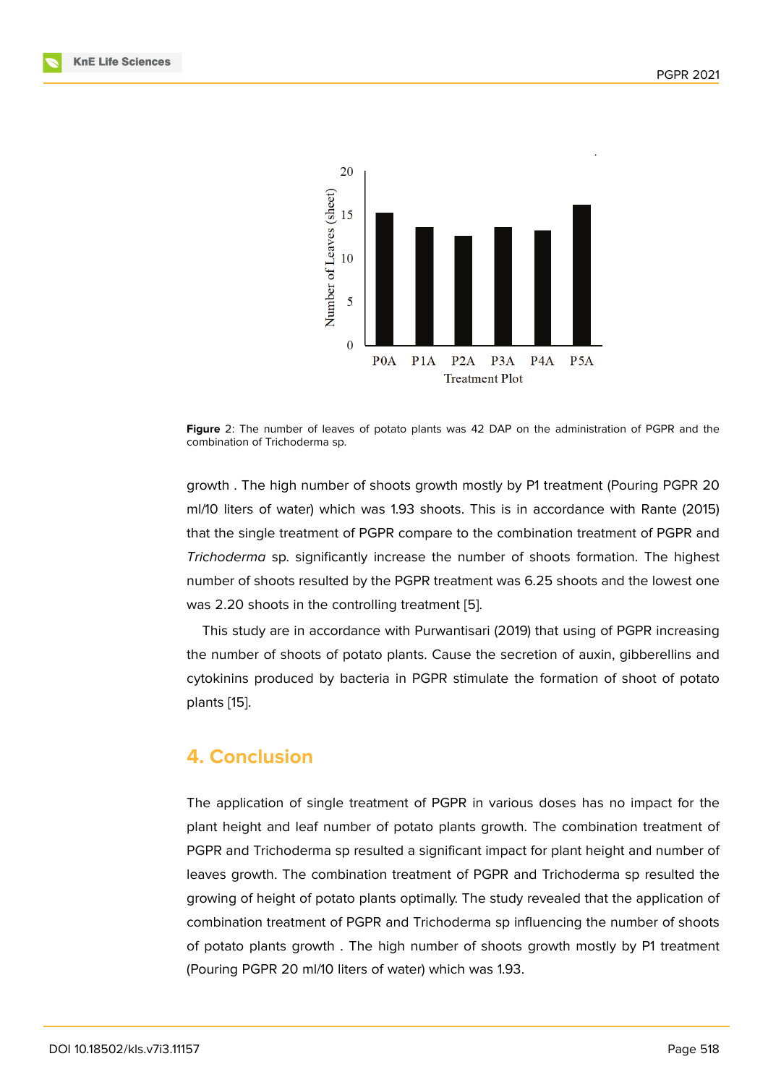

**Figure** 2: The number of leaves of potato plants was 42 DAP on the administration of PGPR and the combination of Trichoderma sp.

<span id="page-5-0"></span>growth . The high number of shoots growth mostly by P1 treatment (Pouring PGPR 20 ml/10 liters of water) which was 1.93 shoots. This is in accordance with Rante (2015) that the single treatment of PGPR compare to the combination treatment of PGPR and *Trichoderma* sp. significantly increase the number of shoots formation. The highest number of shoots resulted by the PGPR treatment was 6.25 shoots and the lowest one was 2.20 shoots in the controlling treatment [5].

This study are in accordance with Purwantisari (2019) that using of PGPR increasing the number of shoots of potato plants. Cause the secretion of auxin, gibberellins and cytokinins produced by bacteria in PGPR sti[m](#page-6-3)ulate the formation of shoot of potato plants [15].

## **4. C[on](#page-7-3)clusion**

The application of single treatment of PGPR in various doses has no impact for the plant height and leaf number of potato plants growth. The combination treatment of PGPR and Trichoderma sp resulted a significant impact for plant height and number of leaves growth. The combination treatment of PGPR and Trichoderma sp resulted the growing of height of potato plants optimally. The study revealed that the application of combination treatment of PGPR and Trichoderma sp influencing the number of shoots of potato plants growth . The high number of shoots growth mostly by P1 treatment (Pouring PGPR 20 ml/10 liters of water) which was 1.93.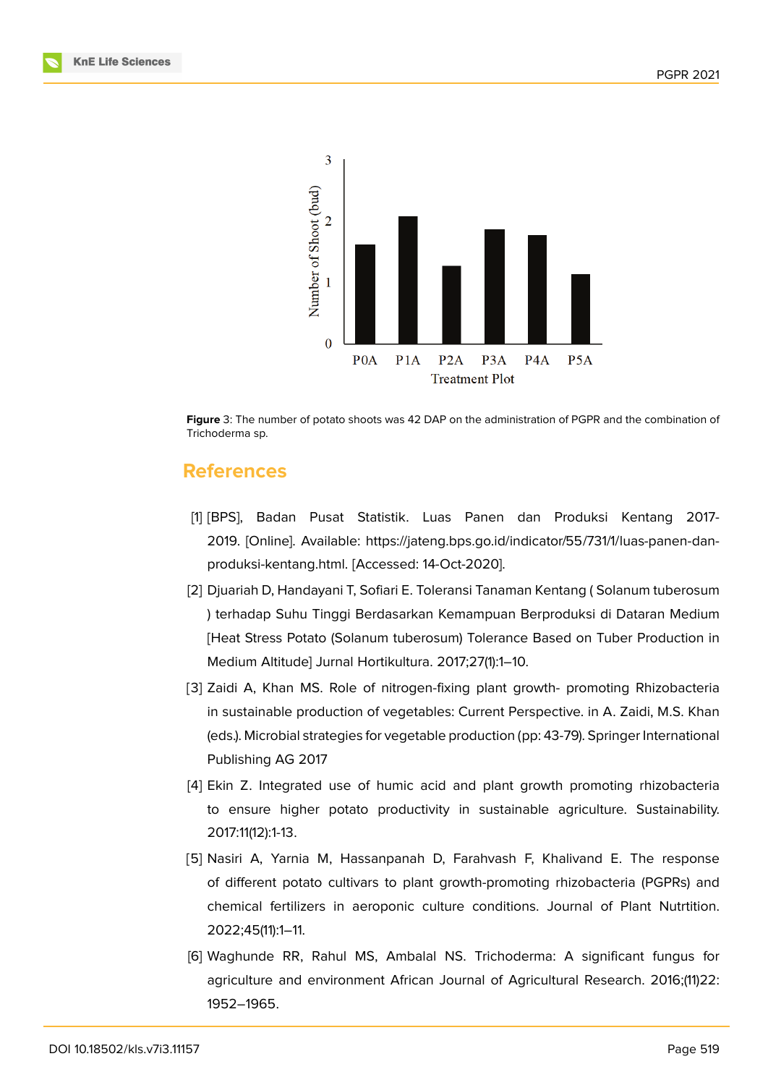





## **References**

- <span id="page-6-0"></span>[1] [BPS], Badan Pusat Statistik. Luas Panen dan Produksi Kentang 2017- 2019. [Online]. Available: https://jateng.bps.go.id/indicator/55/731/1/luas-panen-danproduksi-kentang.html. [Accessed: 14-Oct-2020].
- [2] Djuariah D, Handayani T, Sofiari E. Toleransi Tanaman Kentang ( Solanum tuberosum ) terhadap Suhu Tinggi Berdasarkan Kemampuan Berproduksi di Dataran Medium [Heat Stress Potato (Solanum tuberosum) Tolerance Based on Tuber Production in Medium Altitude] Jurnal Hortikultura. 2017;27(1):1–10.
- <span id="page-6-1"></span>[3] Zaidi A, Khan MS. Role of nitrogen-fixing plant growth- promoting Rhizobacteria in sustainable production of vegetables: Current Perspective. in A. Zaidi, M.S. Khan (eds.). Microbial strategies for vegetable production (pp: 43-79). Springer International Publishing AG 2017
- <span id="page-6-2"></span>[4] Ekin Z. Integrated use of humic acid and plant growth promoting rhizobacteria to ensure higher potato productivity in sustainable agriculture. Sustainability. 2017:11(12):1-13.
- <span id="page-6-3"></span>[5] Nasiri A, Yarnia M, Hassanpanah D, Farahvash F, Khalivand E. The response of different potato cultivars to plant growth-promoting rhizobacteria (PGPRs) and chemical fertilizers in aeroponic culture conditions. Journal of Plant Nutrtition. 2022;45(11):1–11.
- <span id="page-6-4"></span>[6] Waghunde RR, Rahul MS, Ambalal NS. Trichoderma: A significant fungus for agriculture and environment African Journal of Agricultural Research. 2016;(11)22: 1952–1965.